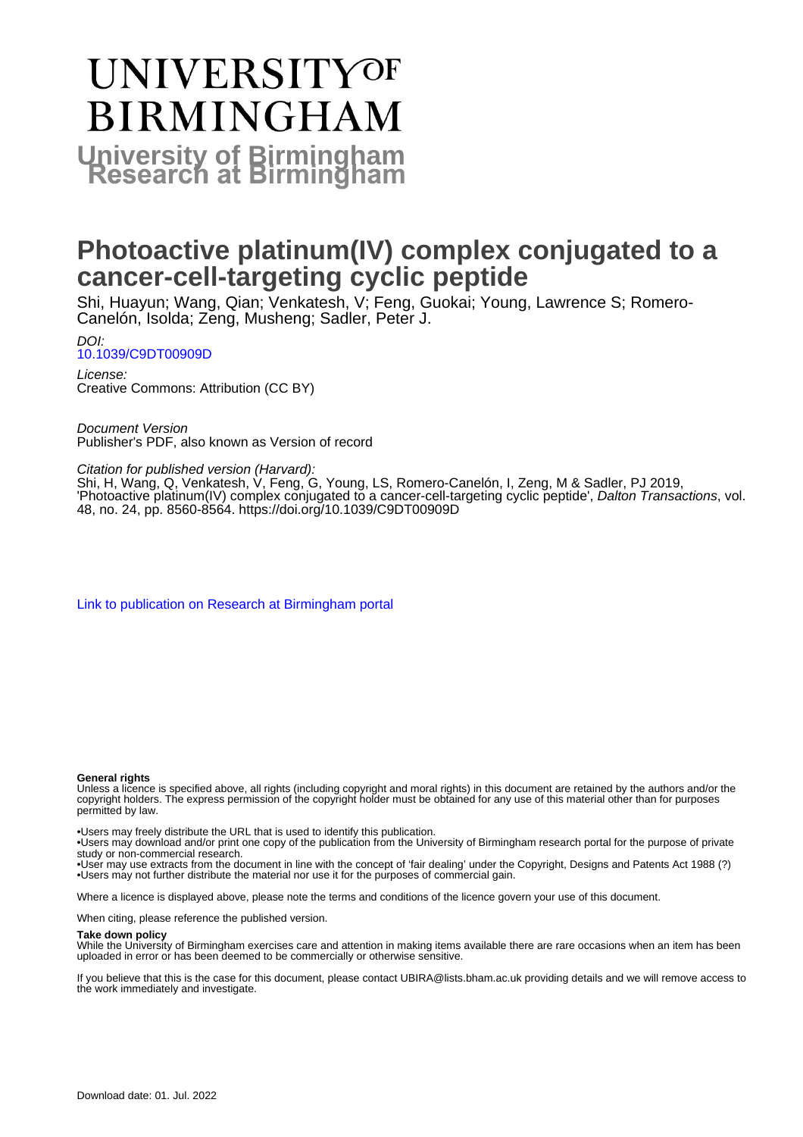# **UNIVERSITYOF BIRMINGHAM University of Birmingham**

# **Photoactive platinum(IV) complex conjugated to a cancer-cell-targeting cyclic peptide**

Shi, Huayun; Wang, Qian; Venkatesh, V; Feng, Guokai; Young, Lawrence S; Romero-Canelón, Isolda; Zeng, Musheng; Sadler, Peter J.

DOI: [10.1039/C9DT00909D](https://doi.org/10.1039/C9DT00909D)

License: Creative Commons: Attribution (CC BY)

Document Version Publisher's PDF, also known as Version of record

Citation for published version (Harvard):

Shi, H, Wang, Q, Venkatesh, V, Feng, G, Young, LS, Romero-Canelón, I, Zeng, M & Sadler, PJ 2019, 'Photoactive platinum(IV) complex conjugated to a cancer-cell-targeting cyclic peptide', Dalton Transactions, vol. 48, no. 24, pp. 8560-8564.<https://doi.org/10.1039/C9DT00909D>

[Link to publication on Research at Birmingham portal](https://birmingham.elsevierpure.com/en/publications/4321f32f-1937-4802-b75d-149f946bb1e5)

#### **General rights**

Unless a licence is specified above, all rights (including copyright and moral rights) in this document are retained by the authors and/or the copyright holders. The express permission of the copyright holder must be obtained for any use of this material other than for purposes permitted by law.

• Users may freely distribute the URL that is used to identify this publication.

• Users may download and/or print one copy of the publication from the University of Birmingham research portal for the purpose of private study or non-commercial research.

• User may use extracts from the document in line with the concept of 'fair dealing' under the Copyright, Designs and Patents Act 1988 (?) • Users may not further distribute the material nor use it for the purposes of commercial gain.

Where a licence is displayed above, please note the terms and conditions of the licence govern your use of this document.

When citing, please reference the published version.

#### **Take down policy**

While the University of Birmingham exercises care and attention in making items available there are rare occasions when an item has been uploaded in error or has been deemed to be commercially or otherwise sensitive.

If you believe that this is the case for this document, please contact UBIRA@lists.bham.ac.uk providing details and we will remove access to the work immediately and investigate.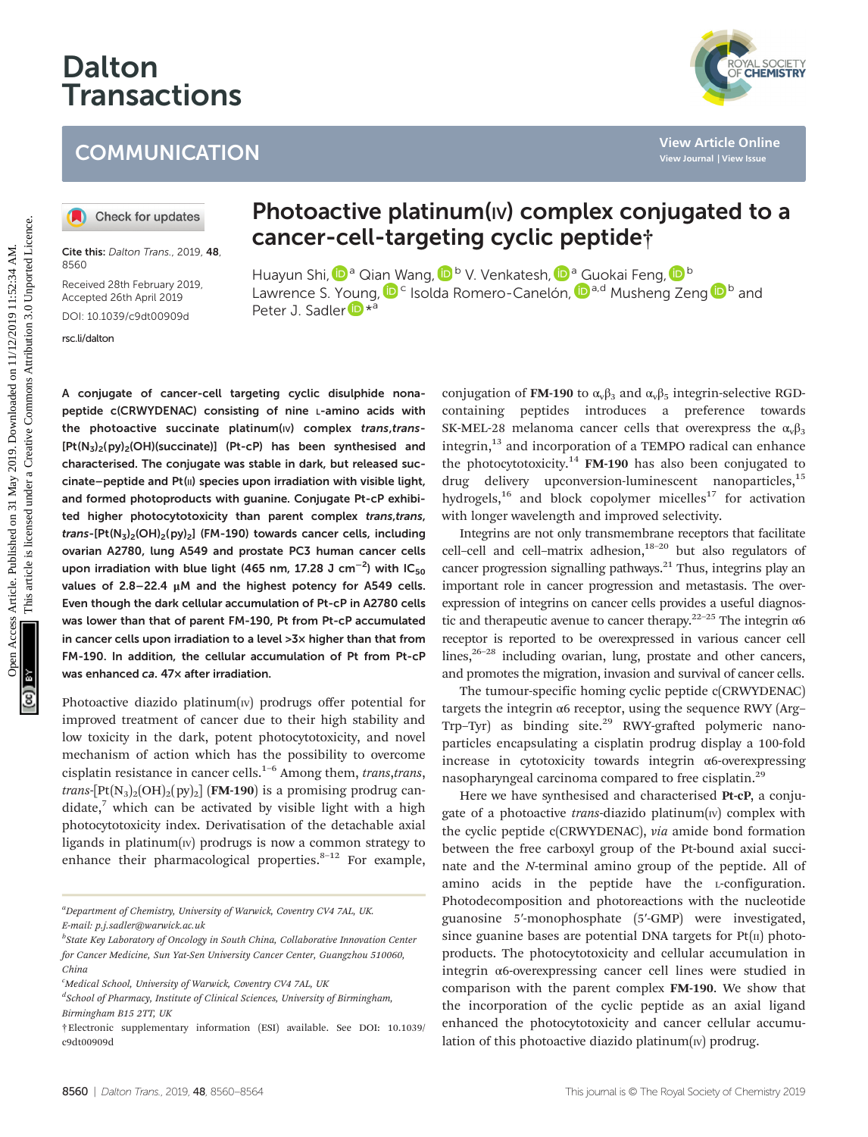# Dalton **Transactions**

## **COMMUNICATION**

Cite this: Dalton Trans., 2019, 48 8560

Received 28th February 2019, Accepted 26th April 2019 DOI: 10.1039/c9dt00909d

[rsc.li/dalton](www.rsc.li/dalton)

## Photoactive platinum(IV) complex conjugated to a cancer-cell-targeting cyclic peptide†

Huayu[n](http://orcid.org/0000-0003-3919-4298) Shi, **D**<sup>a</sup> Qian [W](http://orcid.org/0000-0003-3919-4298)ang, D<sup>b</sup> V. Venkatesh, D<sup>a</sup> [G](http://orcid.org/0000-0003-3847-4626)uokai Feng, D<sup>b</sup> Lawrence S. Y[oun](http://orcid.org/0000-0001-9160-1941)g,  $\mathbf{D}^c$  Isolda Romero-Canelón,  $\mathbf{D}^{a,d}$  Musheng Zeng  $\mathbf{D}^b$  and Peter J. Sadler<sup>D \*a</sup>

A conjugate of cancer-cell targeting cyclic disulphide nonapeptide c(CRWYDENAC) consisting of nine L-amino acids with the photoactive succinate platinum(IV) complex trans, trans- $[Pt(N<sub>3</sub>)<sub>2</sub>(py)<sub>2</sub>(OH)(succinate)]$  (Pt-cP) has been synthesised and characterised. The conjugate was stable in dark, but released succinate–peptide and Pt(II) species upon irradiation with visible light, and formed photoproducts with guanine. Conjugate Pt-cP exhibited higher photocytotoxicity than parent complex trans,trans, trans-[Pt(N<sub>3</sub>)<sub>2</sub>(OH)<sub>2</sub>(py)<sub>2</sub>] (FM-190) towards cancer cells, including ovarian A2780, lung A549 and prostate PC3 human cancer cells upon irradiation with blue light (465 nm, 17.28 J cm $^{-2}$ ) with lC $_{\bf 50}$ values of 2.8–22.4 μM and the highest potency for A549 cells. Even though the dark cellular accumulation of Pt-cP in A2780 cells was lower than that of parent FM-190, Pt from Pt-cP accumulated in cancer cells upon irradiation to a level >3× higher than that from FM-190. In addition, the cellular accumulation of Pt from Pt-cP was enhanced ca. 47× after irradiation. COMMUNICATION<br>
<sup>View Article China is a state and the state and the state and the state and the state and the state and the state and the state and the state and the state and the state and the state and the state and the</sup>

Photoactive diazido platinum $(w)$  prodrugs offer potential for improved treatment of cancer due to their high stability and low toxicity in the dark, potent photocytotoxicity, and novel mechanism of action which has the possibility to overcome cisplatin resistance in cancer cells.<sup>1-6</sup> Among them, trans, trans, *trans*- $[Pt(N_3)_2(OH)_2(PY)_2]$  (FM-190) is a promising prodrug candidate, $\bar{z}$  which can be activated by visible light with a high photocytotoxicity index. Derivatisation of the detachable axial ligands in platinum $(w)$  prodrugs is now a common strategy to enhance their pharmacological properties. $8-12$  For example,

<sup>a</sup>Department of Chemistry, University of Warwick, Coventry CV4 7AL, UK. E-mail: p.j.sadler@warwick.ac.uk

<sup>b</sup>State Key Laboratory of Oncology in South China, Collaborative Innovation Center for Cancer Medicine, Sun Yat-Sen University Cancer Center, Guangzhou 510060, China

<sup>c</sup>Medical School, University of Warwick, Coventry CV4 7AL, UK

<sup>d</sup>School of Pharmacy, Institute of Clinical Sciences, University of Birmingham, Birmingham B15 2TT, UK

†Electronic supplementary information (ESI) available. See DOI: 10.1039/ c9dt00909d

conjugation of FM-190 to  $\alpha_v \beta_3$  and  $\alpha_v \beta_5$  integrin-selective RGDcontaining peptides introduces a preference towards SK-MEL-28 melanoma cancer cells that overexpress the  $\alpha_{\nu}\beta_3$ integrin,<sup>13</sup> and incorporation of a TEMPO radical can enhance the photocytotoxicity.<sup>14</sup> FM-190 has also been conjugated to drug delivery upconversion-luminescent nanoparticles,<sup>15</sup> hydrogels,<sup>16</sup> and block copolymer micelles<sup>17</sup> for activation with longer wavelength and improved selectivity.

Integrins are not only transmembrane receptors that facilitate cell-cell and cell-matrix adhesion, $18-20$  but also regulators of cancer progression signalling pathways.<sup>21</sup> Thus, integrins play an important role in cancer progression and metastasis. The overexpression of integrins on cancer cells provides a useful diagnostic and therapeutic avenue to cancer therapy.<sup>22–25</sup> The integrin  $\alpha$ 6 receptor is reported to be overexpressed in various cancer cell lines, $26-28$  including ovarian, lung, prostate and other cancers, and promotes the migration, invasion and survival of cancer cells.

The tumour-specific homing cyclic peptide c(CRWYDENAC) targets the integrin α6 receptor, using the sequence RWY (Arg– Trp-Tyr) as binding site.<sup>29</sup> RWY-grafted polymeric nanoparticles encapsulating a cisplatin prodrug display a 100-fold increase in cytotoxicity towards integrin α6-overexpressing nasopharyngeal carcinoma compared to free cisplatin.<sup>29</sup>

Here we have synthesised and characterised Pt-cP, a conjugate of a photoactive *trans*-diazido platinum $(w)$  complex with the cyclic peptide c(CRWYDENAC), via amide bond formation between the free carboxyl group of the Pt-bound axial succinate and the N-terminal amino group of the peptide. All of amino acids in the peptide have the L-configuration. Photodecomposition and photoreactions with the nucleotide guanosine 5′-monophosphate (5′-GMP) were investigated, since guanine bases are potential DNA targets for  $Pt(II)$  photoproducts. The photocytotoxicity and cellular accumulation in integrin α6-overexpressing cancer cell lines were studied in comparison with the parent complex FM-190. We show that the incorporation of the cyclic peptide as an axial ligand enhanced the photocytotoxicity and cancer cellular accumulation of this photoactive diazido platinum $(w)$  prodrug.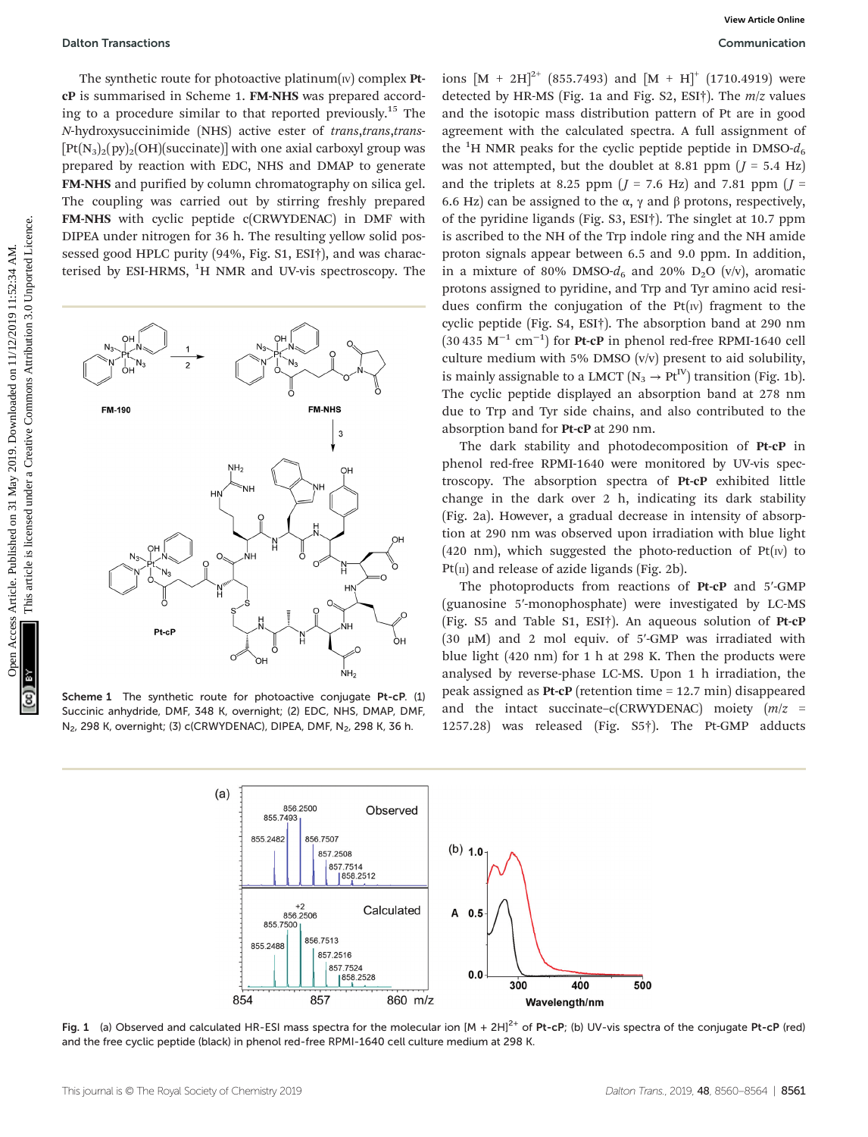The synthetic route for photoactive platinum $(w)$  complex PtcP is summarised in Scheme 1. FM-NHS was prepared according to a procedure similar to that reported previously.<sup>15</sup> The N-hydroxysuccinimide (NHS) active ester of trans,trans,trans-  $[Pt(N<sub>3</sub>)<sub>2</sub>(py)<sub>2</sub>(OH)(succinate)]$  with one axial carboxyl group was prepared by reaction with EDC, NHS and DMAP to generate FM-NHS and purified by column chromatography on silica gel. The coupling was carried out by stirring freshly prepared FM-NHS with cyclic peptide c(CRWYDENAC) in DMF with DIPEA under nitrogen for 36 h. The resulting yellow solid possessed good HPLC purity (94%, Fig. S1, ESI†), and was characterised by ESI-HRMS, <sup>1</sup>H NMR and UV-vis spectroscopy. The



Scheme 1 The synthetic route for photoactive conjugate Pt-cP. (1) Succinic anhydride, DMF, 348 K, overnight; (2) EDC, NHS, DMAP, DMF, N<sub>2</sub>, 298 K, overnight; (3) c(CRWYDENAC), DIPEA, DMF, N<sub>2</sub>, 298 K, 36 h.

ions  $[M + 2H]^{2+}$  (855.7493) and  $[M + H]^{+}$  (1710.4919) were detected by HR-MS (Fig. 1a and Fig. S2, ESI†). The  $m/z$  values and the isotopic mass distribution pattern of Pt are in good agreement with the calculated spectra. A full assignment of the <sup>1</sup>H NMR peaks for the cyclic peptide peptide in DMSO- $d_6$ was not attempted, but the doublet at 8.81 ppm  $(I = 5.4 \text{ Hz})$ and the triplets at 8.25 ppm  $(J = 7.6 \text{ Hz})$  and 7.81 ppm  $(J = 7.6 \text{ Hz})$ 6.6 Hz) can be assigned to the α, γ and β protons, respectively, of the pyridine ligands (Fig. S3, ESI†). The singlet at 10.7 ppm is ascribed to the NH of the Trp indole ring and the NH amide proton signals appear between 6.5 and 9.0 ppm. In addition, in a mixture of 80% DMSO- $d_6$  and 20% D<sub>2</sub>O (v/v), aromatic protons assigned to pyridine, and Trp and Tyr amino acid residues confirm the conjugation of the  $Pt(w)$  fragment to the cyclic peptide (Fig. S4, ESI†). The absorption band at 290 nm  $(30 435 \text{ M}^{-1} \text{ cm}^{-1})$  for Pt-cP in phenol red-free RPMI-1640 cell culture medium with 5% DMSO (v/v) present to aid solubility, is mainly assignable to a LMCT ( $N_3 \rightarrow Pt^{IV}$ ) transition (Fig. 1b). The cyclic peptide displayed an absorption band at 278 nm due to Trp and Tyr side chains, and also contributed to the absorption band for Pt-cP at 290 nm.

The dark stability and photodecomposition of Pt-cP in phenol red-free RPMI-1640 were monitored by UV-vis spectroscopy. The absorption spectra of Pt-cP exhibited little change in the dark over 2 h, indicating its dark stability (Fig. 2a). However, a gradual decrease in intensity of absorption at 290 nm was observed upon irradiation with blue light (420 nm), which suggested the photo-reduction of  $Pt(w)$  to  $Pt(II)$  and release of azide ligands (Fig. 2b).

The photoproducts from reactions of Pt-cP and 5′-GMP (guanosine 5′-monophosphate) were investigated by LC-MS (Fig. S5 and Table S1, ESI†). An aqueous solution of Pt-cP (30  $\mu$ M) and 2 mol equiv. of 5'-GMP was irradiated with blue light (420 nm) for 1 h at 298 K. Then the products were analysed by reverse-phase LC-MS. Upon 1 h irradiation, the peak assigned as Pt-cP (retention time = 12.7 min) disappeared and the intact succinate–c(CRWYDENAC) moiety  $(m/z)$ 1257.28) was released (Fig. S5†). The Pt-GMP adducts



Fig. 1 (a) Observed and calculated HR-ESI mass spectra for the molecular ion  $[M + 2H]^{2+}$  of Pt-cP; (b) UV-vis spectra of the conjugate Pt-cP (red) and the free cyclic peptide (black) in phenol red-free RPMI-1640 cell culture medium at 298 K.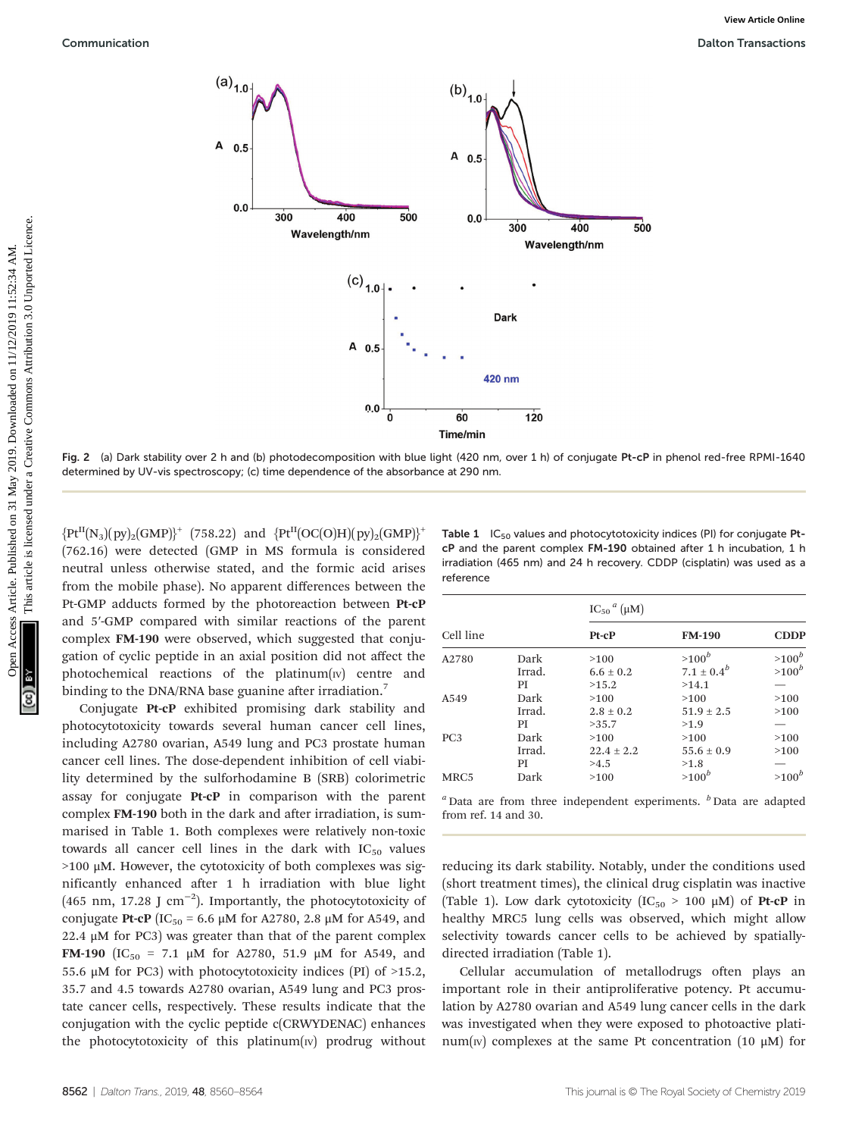



Fig. 2 (a) Dark stability over 2 h and (b) photodecomposition with blue light (420 nm, over 1 h) of conjugate Pt-cP in phenol red-free RPMI-1640 determined by UV-vis spectroscopy; (c) time dependence of the absorbance at 290 nm.

 ${Pt}^{II}(N_3)(py)_2(GMP)^+$  (758.22) and  ${Pt}^{II}(OC(O)H)(py)_2(GMP)^+$ (762.16) were detected (GMP in MS formula is considered neutral unless otherwise stated, and the formic acid arises from the mobile phase). No apparent differences between the Pt-GMP adducts formed by the photoreaction between Pt-cP and 5′-GMP compared with similar reactions of the parent complex FM-190 were observed, which suggested that conjugation of cyclic peptide in an axial position did not affect the photochemical reactions of the platinum $(w)$  centre and binding to the DNA/RNA base guanine after irradiation.<sup>7</sup>

Conjugate Pt-cP exhibited promising dark stability and photocytotoxicity towards several human cancer cell lines, including A2780 ovarian, A549 lung and PC3 prostate human cancer cell lines. The dose-dependent inhibition of cell viability determined by the sulforhodamine B (SRB) colorimetric assay for conjugate Pt-cP in comparison with the parent complex FM-190 both in the dark and after irradiation, is summarised in Table 1. Both complexes were relatively non-toxic towards all cancer cell lines in the dark with  $IC_{50}$  values >100 μM. However, the cytotoxicity of both complexes was significantly enhanced after 1 h irradiation with blue light (465 nm, 17.28 J cm<sup>-2</sup>). Importantly, the photocytotoxicity of conjugate Pt-cP (IC<sub>50</sub> = 6.6 μM for A2780, 2.8 μM for A549, and 22.4  $\mu$ M for PC3) was greater than that of the parent complex FM-190 (IC<sub>50</sub> = 7.1 μM for A2780, 51.9 μM for A549, and 55.6  $\mu$ M for PC3) with photocytotoxicity indices (PI) of >15.2, 35.7 and 4.5 towards A2780 ovarian, A549 lung and PC3 prostate cancer cells, respectively. These results indicate that the conjugation with the cyclic peptide c(CRWYDENAC) enhances the photocytotoxicity of this platinum $(w)$  prodrug without

Table  $1$  IC<sub>50</sub> values and photocytotoxicity indices (PI) for conjugate PtcP and the parent complex FM-190 obtained after 1 h incubation, 1 h irradiation (465 nm) and 24 h recovery. CDDP (cisplatin) was used as a reference

|                 |        | $\text{IC}_{50}{}^{a}$ (µM) |                 |             |  |
|-----------------|--------|-----------------------------|-----------------|-------------|--|
| Cell line       |        | Pt-cP                       | <b>FM-190</b>   | <b>CDDP</b> |  |
| A2780           | Dark   | >100                        | $>100^b$        | $>100^b$    |  |
|                 | Irrad. | $6.6 \pm 0.2$               | $7.1 \pm 0.4^b$ | $>100^b$    |  |
|                 | PI     | >15.2                       | >14.1           |             |  |
| A549            | Dark   | >100                        | >100            | >100        |  |
|                 | Irrad. | $2.8 + 0.2$                 | $51.9 + 2.5$    | >100        |  |
|                 | PI     | >35.7                       | >1.9            |             |  |
| PC <sub>3</sub> | Dark   | >100                        | >100            | >100        |  |
|                 | Irrad. | $22.4 + 2.2$                | $55.6 + 0.9$    | >100        |  |
|                 | PI     | >4.5                        | >1.8            |             |  |
| MRC5            | Dark   | >100                        | $>100^b$        | $>100^b$    |  |

 $a$  Data are from three independent experiments.  $b$  Data are adapted from ref. 14 and 30.

reducing its dark stability. Notably, under the conditions used (short treatment times), the clinical drug cisplatin was inactive (Table 1). Low dark cytotoxicity  $(IC_{50} > 100 \mu M)$  of **Pt-cP** in healthy MRC5 lung cells was observed, which might allow selectivity towards cancer cells to be achieved by spatiallydirected irradiation (Table 1).

Cellular accumulation of metallodrugs often plays an important role in their antiproliferative potency. Pt accumulation by A2780 ovarian and A549 lung cancer cells in the dark was investigated when they were exposed to photoactive platinum(v) complexes at the same Pt concentration (10  $\mu$ M) for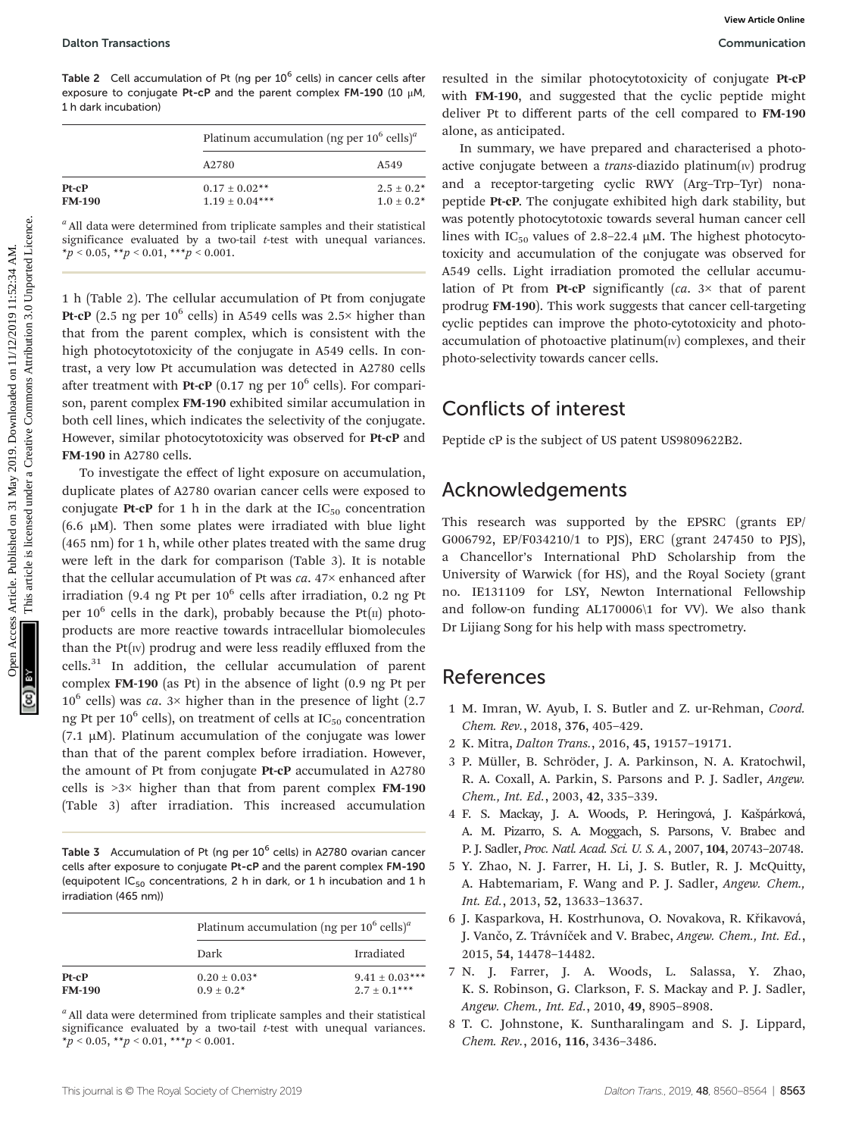Table 2 Cell accumulation of Pt (ng per  $10^6$  cells) in cancer cells after exposure to conjugate Pt-cP and the parent complex FM-190 (10 μM, 1 h dark incubation)

|               |                    | Platinum accumulation (ng per $10^6$ cells) <sup><i>a</i></sup> |  |
|---------------|--------------------|-----------------------------------------------------------------|--|
|               | A2780              | A549                                                            |  |
| $Pt-CP$       | $0.17 \pm 0.02$ ** | $2.5 \pm 0.2^*$                                                 |  |
| <b>FM-190</b> | $1.19 \pm 0.04***$ | $1.0 + 0.2*$                                                    |  |

 $a$  All data were determined from triplicate samples and their statistical significance evaluated by a two-tail  $t$ -test with unequal variances.  $*_p$  < 0.05,  $*_p$  < 0.01,  $**_p$  < 0.001.

1 h (Table 2). The cellular accumulation of Pt from conjugate Pt-cP (2.5 ng per  $10^6$  cells) in A549 cells was 2.5 $\times$  higher than that from the parent complex, which is consistent with the high photocytotoxicity of the conjugate in A549 cells. In contrast, a very low Pt accumulation was detected in A2780 cells after treatment with **Pt-cP** (0.17 ng per  $10^6$  cells). For comparison, parent complex FM-190 exhibited similar accumulation in both cell lines, which indicates the selectivity of the conjugate. However, similar photocytotoxicity was observed for Pt-cP and FM-190 in A2780 cells.

To investigate the effect of light exposure on accumulation, duplicate plates of A2780 ovarian cancer cells were exposed to conjugate Pt-cP for 1 h in the dark at the  $IC_{50}$  concentration (6.6  $\mu$ M). Then some plates were irradiated with blue light (465 nm) for 1 h, while other plates treated with the same drug were left in the dark for comparison (Table 3). It is notable that the cellular accumulation of Pt was  $ca. 47\times$  enhanced after irradiation (9.4 ng Pt per  $10^6$  cells after irradiation, 0.2 ng Pt per  $10^6$  cells in the dark), probably because the Pt(II) photoproducts are more reactive towards intracellular biomolecules than the  $Pt(w)$  prodrug and were less readily effluxed from the cells.<sup>31</sup> In addition, the cellular accumulation of parent complex FM-190 (as Pt) in the absence of light (0.9 ng Pt per  $10^6$  cells) was *ca*.  $3 \times$  higher than in the presence of light (2.7) ng Pt per 10<sup>6</sup> cells), on treatment of cells at  $IC_{50}$  concentration (7.1  $\mu$ M). Platinum accumulation of the conjugate was lower than that of the parent complex before irradiation. However, the amount of Pt from conjugate Pt-cP accumulated in A2780 cells is >3× higher than that from parent complex FM-190 (Table 3) after irradiation. This increased accumulation

Table 3 Accumulation of Pt (ng per  $10^6$  cells) in A2780 ovarian cancer cells after exposure to conjugate Pt-cP and the parent complex FM-190 (equipotent  $IC_{50}$  concentrations, 2 h in dark, or 1 h incubation and 1 h irradiation (465 nm))

|                          |                                  | Platinum accumulation (ng per $10^6$ cells) <sup><i>a</i></sup> |  |  |
|--------------------------|----------------------------------|-----------------------------------------------------------------|--|--|
|                          | Dark                             | Irradiated                                                      |  |  |
| $Pt-CP$<br><b>FM-190</b> | $0.20 \pm 0.03*$<br>$0.9 + 0.2*$ | $9.41 \pm 0.03***$<br>$2.7 \pm 0.1***$                          |  |  |

<sup>a</sup> All data were determined from triplicate samples and their statistical significance evaluated by a two-tail  $t$ -test with unequal variances.  $*_p$  < 0.05,  $*_p$  < 0.01,  $**_p$  < 0.001.

resulted in the similar photocytotoxicity of conjugate Pt-cP with FM-190, and suggested that the cyclic peptide might deliver Pt to different parts of the cell compared to FM-190 alone, as anticipated.

In summary, we have prepared and characterised a photoactive conjugate between a *trans*-diazido platinum( $\text{IV}$ ) prodrug and a receptor-targeting cyclic RWY (Arg–Trp–Tyr) nonapeptide Pt-cP. The conjugate exhibited high dark stability, but was potently photocytotoxic towards several human cancer cell lines with IC<sub>50</sub> values of 2.8–22.4  $\mu$ M. The highest photocytotoxicity and accumulation of the conjugate was observed for A549 cells. Light irradiation promoted the cellular accumulation of Pt from Pt-cP significantly  $(ca. 3 \times that of parent$ prodrug FM-190). This work suggests that cancer cell-targeting cyclic peptides can improve the photo-cytotoxicity and photoaccumulation of photoactive platinum $(w)$  complexes, and their photo-selectivity towards cancer cells. Datton Tannactions<br>
Table 2 Celi scenmulation of Partis Pays article in article. Published on the similar photogroomed in the cycle paysing the common accounting<br>
The max is considered the similar pays are the similar and

### Conflicts of interest

Peptide cP is the subject of US patent US9809622B2.

### Acknowledgements

This research was supported by the EPSRC (grants EP/ G006792, EP/F034210/1 to PJS), ERC (grant 247450 to PJS), a Chancellor's International PhD Scholarship from the University of Warwick (for HS), and the Royal Society (grant no. IE131109 for LSY, Newton International Fellowship and follow-on funding AL170006\1 for VV). We also thank Dr Lijiang Song for his help with mass spectrometry.

#### References

- 1 M. Imran, W. Ayub, I. S. Butler and Z. ur-Rehman, Coord. Chem. Rev., 2018, 376, 405–429.
- 2 K. Mitra, Dalton Trans., 2016, 45, 19157–19171.
- 3 P. Müller, B. Schröder, J. A. Parkinson, N. A. Kratochwil, R. A. Coxall, A. Parkin, S. Parsons and P. J. Sadler, Angew. Chem., Int. Ed., 2003, 42, 335–339.
- 4 F. S. Mackay, J. A. Woods, P. Heringová, J. Kašpárková, A. M. Pizarro, S. A. Moggach, S. Parsons, V. Brabec and P. J. Sadler, Proc. Natl. Acad. Sci. U. S. A., 2007, 104, 20743–20748.
- 5 Y. Zhao, N. J. Farrer, H. Li, J. S. Butler, R. J. McQuitty, A. Habtemariam, F. Wang and P. J. Sadler, Angew. Chem., Int. Ed., 2013, 52, 13633–13637.
- 6 J. Kasparkova, H. Kostrhunova, O. Novakova, R. Křikavová, J. Vančo, Z. Trávníček and V. Brabec, Angew. Chem., Int. Ed., 2015, 54, 14478–14482.
- 7 N. J. Farrer, J. A. Woods, L. Salassa, Y. Zhao, K. S. Robinson, G. Clarkson, F. S. Mackay and P. J. Sadler, Angew. Chem., Int. Ed., 2010, 49, 8905–8908.
- 8 T. C. Johnstone, K. Suntharalingam and S. J. Lippard, Chem. Rev., 2016, 116, 3436–3486.